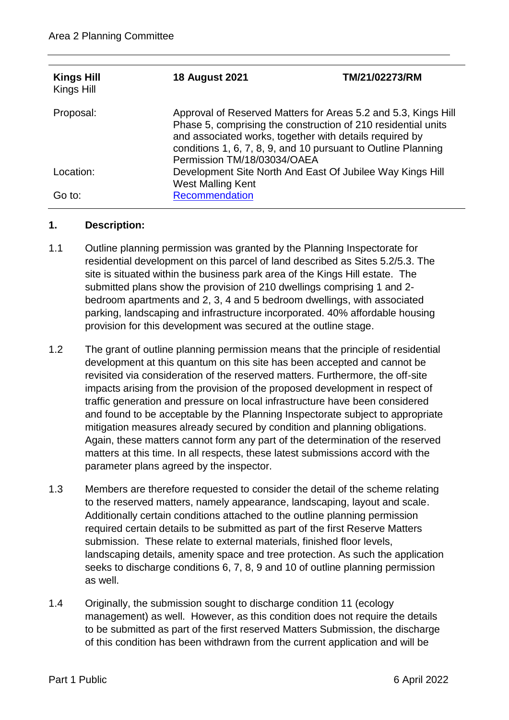| <b>Kings Hill</b><br>Kings Hill | <b>18 August 2021</b>                                                                                                                                                                                                                                                                      | TM/21/02273/RM |  |  |  |
|---------------------------------|--------------------------------------------------------------------------------------------------------------------------------------------------------------------------------------------------------------------------------------------------------------------------------------------|----------------|--|--|--|
| Proposal:                       | Approval of Reserved Matters for Areas 5.2 and 5.3, Kings Hill<br>Phase 5, comprising the construction of 210 residential units<br>and associated works, together with details required by<br>conditions 1, 6, 7, 8, 9, and 10 pursuant to Outline Planning<br>Permission TM/18/03034/OAEA |                |  |  |  |
| Location:                       | Development Site North And East Of Jubilee Way Kings Hill<br><b>West Malling Kent</b>                                                                                                                                                                                                      |                |  |  |  |
| Go to:                          | Recommendation                                                                                                                                                                                                                                                                             |                |  |  |  |

## **1. Description:**

- 1.1 Outline planning permission was granted by the Planning Inspectorate for residential development on this parcel of land described as Sites 5.2/5.3. The site is situated within the business park area of the Kings Hill estate. The submitted plans show the provision of 210 dwellings comprising 1 and 2 bedroom apartments and 2, 3, 4 and 5 bedroom dwellings, with associated parking, landscaping and infrastructure incorporated. 40% affordable housing provision for this development was secured at the outline stage.
- 1.2 The grant of outline planning permission means that the principle of residential development at this quantum on this site has been accepted and cannot be revisited via consideration of the reserved matters. Furthermore, the off-site impacts arising from the provision of the proposed development in respect of traffic generation and pressure on local infrastructure have been considered and found to be acceptable by the Planning Inspectorate subject to appropriate mitigation measures already secured by condition and planning obligations. Again, these matters cannot form any part of the determination of the reserved matters at this time. In all respects, these latest submissions accord with the parameter plans agreed by the inspector.
- 1.3 Members are therefore requested to consider the detail of the scheme relating to the reserved matters, namely appearance, landscaping, layout and scale. Additionally certain conditions attached to the outline planning permission required certain details to be submitted as part of the first Reserve Matters submission. These relate to external materials, finished floor levels, landscaping details, amenity space and tree protection. As such the application seeks to discharge conditions 6, 7, 8, 9 and 10 of outline planning permission as well.
- 1.4 Originally, the submission sought to discharge condition 11 (ecology management) as well. However, as this condition does not require the details to be submitted as part of the first reserved Matters Submission, the discharge of this condition has been withdrawn from the current application and will be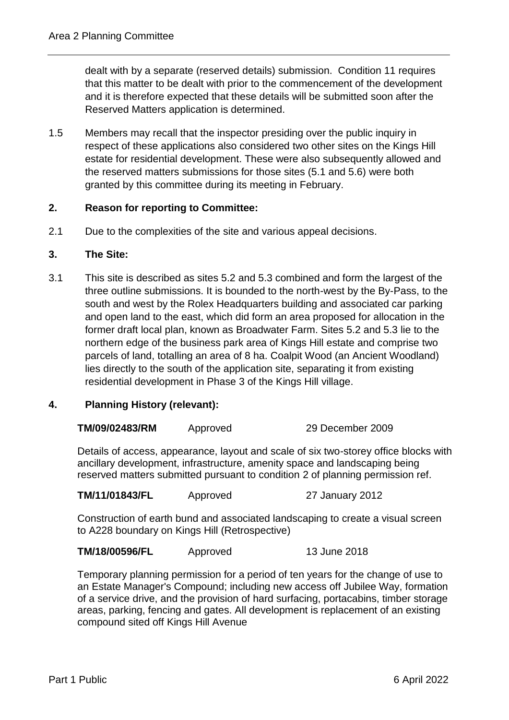dealt with by a separate (reserved details) submission. Condition 11 requires that this matter to be dealt with prior to the commencement of the development and it is therefore expected that these details will be submitted soon after the Reserved Matters application is determined.

1.5 Members may recall that the inspector presiding over the public inquiry in respect of these applications also considered two other sites on the Kings Hill estate for residential development. These were also subsequently allowed and the reserved matters submissions for those sites (5.1 and 5.6) were both granted by this committee during its meeting in February.

# **2. Reason for reporting to Committee:**

2.1 Due to the complexities of the site and various appeal decisions.

### **3. The Site:**

3.1 This site is described as sites 5.2 and 5.3 combined and form the largest of the three outline submissions. It is bounded to the north-west by the By-Pass, to the south and west by the Rolex Headquarters building and associated car parking and open land to the east, which did form an area proposed for allocation in the former draft local plan, known as Broadwater Farm. Sites 5.2 and 5.3 lie to the northern edge of the business park area of Kings Hill estate and comprise two parcels of land, totalling an area of 8 ha. Coalpit Wood (an Ancient Woodland) lies directly to the south of the application site, separating it from existing residential development in Phase 3 of the Kings Hill village.

## **4. Planning History (relevant):**

| TM/09/02483/RM | Approved | 29 December 2009 |
|----------------|----------|------------------|
|                |          |                  |

Details of access, appearance, layout and scale of six two-storey office blocks with ancillary development, infrastructure, amenity space and landscaping being reserved matters submitted pursuant to condition 2 of planning permission ref.

**TM/11/01843/FL** Approved 27 January 2012

Construction of earth bund and associated landscaping to create a visual screen to A228 boundary on Kings Hill (Retrospective)

**TM/18/00596/FL** Approved 13 June 2018

Temporary planning permission for a period of ten years for the change of use to an Estate Manager's Compound; including new access off Jubilee Way, formation of a service drive, and the provision of hard surfacing, portacabins, timber storage areas, parking, fencing and gates. All development is replacement of an existing compound sited off Kings Hill Avenue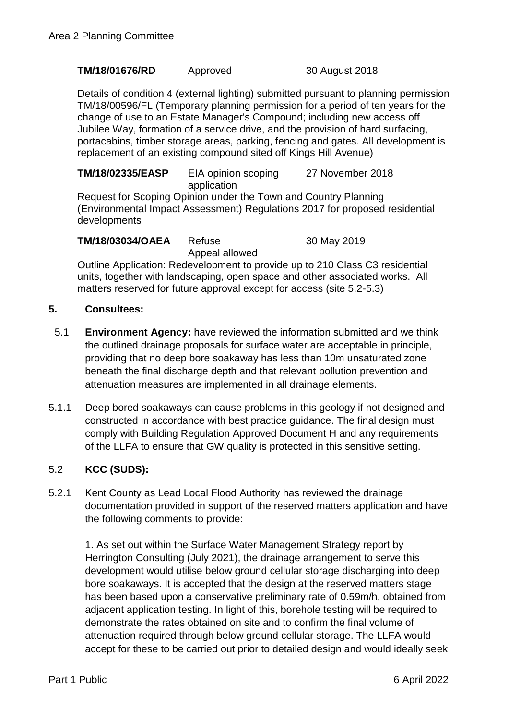#### **TM/18/01676/RD** Approved 30 August 2018

Details of condition 4 (external lighting) submitted pursuant to planning permission TM/18/00596/FL (Temporary planning permission for a period of ten years for the change of use to an Estate Manager's Compound; including new access off Jubilee Way, formation of a service drive, and the provision of hard surfacing, portacabins, timber storage areas, parking, fencing and gates. All development is replacement of an existing compound sited off Kings Hill Avenue)

**TM/18/02335/EASP** EIA opinion scoping application 27 November 2018

Request for Scoping Opinion under the Town and Country Planning (Environmental Impact Assessment) Regulations 2017 for proposed residential developments

**TM/18/03034/OAEA** Refuse

Appeal allowed

30 May 2019

Outline Application: Redevelopment to provide up to 210 Class C3 residential units, together with landscaping, open space and other associated works. All matters reserved for future approval except for access (site 5.2-5.3)

## **5. Consultees:**

- 5.1 **Environment Agency:** have reviewed the information submitted and we think the outlined drainage proposals for surface water are acceptable in principle, providing that no deep bore soakaway has less than 10m unsaturated zone beneath the final discharge depth and that relevant pollution prevention and attenuation measures are implemented in all drainage elements.
- 5.1.1 Deep bored soakaways can cause problems in this geology if not designed and constructed in accordance with best practice guidance. The final design must comply with Building Regulation Approved Document H and any requirements of the LLFA to ensure that GW quality is protected in this sensitive setting.

# 5.2 **KCC (SUDS):**

5.2.1 Kent County as Lead Local Flood Authority has reviewed the drainage documentation provided in support of the reserved matters application and have the following comments to provide:

1. As set out within the Surface Water Management Strategy report by Herrington Consulting (July 2021), the drainage arrangement to serve this development would utilise below ground cellular storage discharging into deep bore soakaways. It is accepted that the design at the reserved matters stage has been based upon a conservative preliminary rate of 0.59m/h, obtained from adjacent application testing. In light of this, borehole testing will be required to demonstrate the rates obtained on site and to confirm the final volume of attenuation required through below ground cellular storage. The LLFA would accept for these to be carried out prior to detailed design and would ideally seek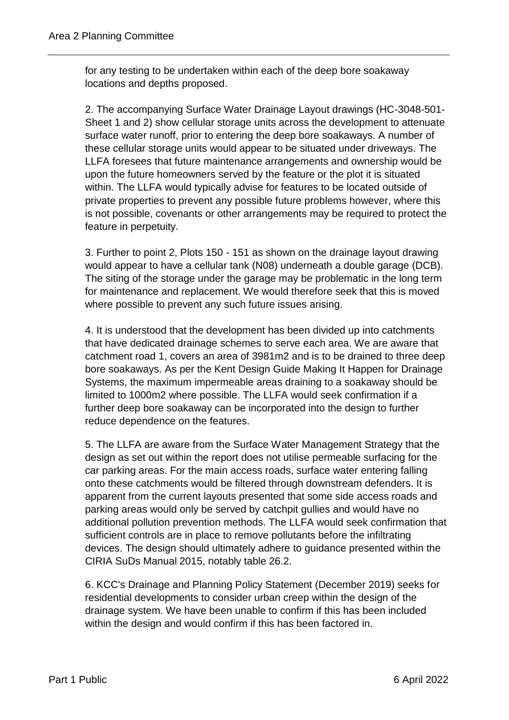for any testing to be undertaken within each of the deep bore soakaway locations and depths proposed.

2. The accompanying Surface Water Drainage Layout drawings (HC-3048-501- Sheet 1 and 2) show cellular storage units across the development to attenuate surface water runoff, prior to entering the deep bore soakaways. A number of these cellular storage units would appear to be situated under driveways. The LLFA foresees that future maintenance arrangements and ownership would be upon the future homeowners served by the feature or the plot it is situated within. The LLFA would typically advise for features to be located outside of private properties to prevent any possible future problems however, where this is not possible, covenants or other arrangements may be required to protect the feature in perpetuity.

3. Further to point 2, Plots 150 - 151 as shown on the drainage layout drawing would appear to have a cellular tank (N08) underneath a double garage (DCB). The siting of the storage under the garage may be problematic in the long term for maintenance and replacement. We would therefore seek that this is moved where possible to prevent any such future issues arising.

4. It is understood that the development has been divided up into catchments that have dedicated drainage schemes to serve each area. We are aware that catchment road 1, covers an area of 3981m2 and is to be drained to three deep bore soakaways. As per the Kent Design Guide Making It Happen for Drainage Systems, the maximum impermeable areas draining to a soakaway should be limited to 1000m2 where possible. The LLFA would seek confirmation if a further deep bore soakaway can be incorporated into the design to further reduce dependence on the features.

5. The LLFA are aware from the Surface Water Management Strategy that the design as set out within the report does not utilise permeable surfacing for the car parking areas. For the main access roads, surface water entering falling onto these catchments would be filtered through downstream defenders. It is apparent from the current layouts presented that some side access roads and parking areas would only be served by catchpit gullies and would have no additional pollution prevention methods. The LLFA would seek confirmation that sufficient controls are in place to remove pollutants before the infiltrating devices. The design should ultimately adhere to guidance presented within the CIRIA SuDs Manual 2015, notably table 26.2.

6. KCC's Drainage and Planning Policy Statement (December 2019) seeks for residential developments to consider urban creep within the design of the drainage system. We have been unable to confirm if this has been included within the design and would confirm if this has been factored in.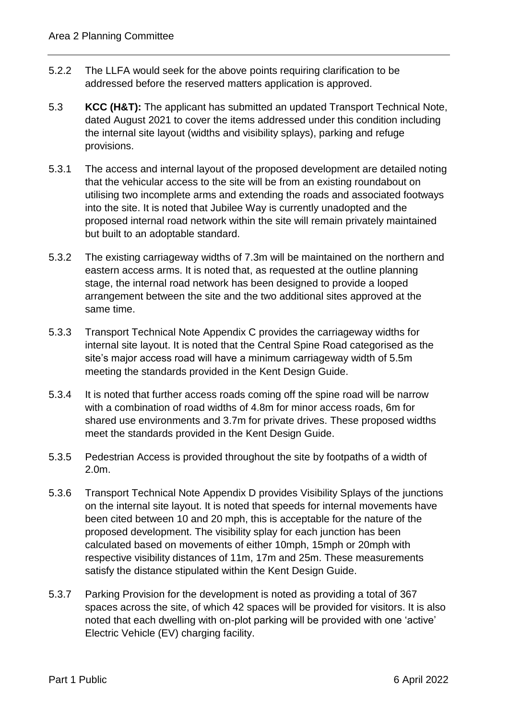- 5.2.2 The LLFA would seek for the above points requiring clarification to be addressed before the reserved matters application is approved.
- 5.3 **KCC (H&T):** The applicant has submitted an updated Transport Technical Note, dated August 2021 to cover the items addressed under this condition including the internal site layout (widths and visibility splays), parking and refuge provisions.
- 5.3.1 The access and internal layout of the proposed development are detailed noting that the vehicular access to the site will be from an existing roundabout on utilising two incomplete arms and extending the roads and associated footways into the site. It is noted that Jubilee Way is currently unadopted and the proposed internal road network within the site will remain privately maintained but built to an adoptable standard.
- 5.3.2 The existing carriageway widths of 7.3m will be maintained on the northern and eastern access arms. It is noted that, as requested at the outline planning stage, the internal road network has been designed to provide a looped arrangement between the site and the two additional sites approved at the same time.
- 5.3.3 Transport Technical Note Appendix C provides the carriageway widths for internal site layout. It is noted that the Central Spine Road categorised as the site's major access road will have a minimum carriageway width of 5.5m meeting the standards provided in the Kent Design Guide.
- 5.3.4 It is noted that further access roads coming off the spine road will be narrow with a combination of road widths of 4.8m for minor access roads, 6m for shared use environments and 3.7m for private drives. These proposed widths meet the standards provided in the Kent Design Guide.
- 5.3.5 Pedestrian Access is provided throughout the site by footpaths of a width of 2.0m.
- 5.3.6 Transport Technical Note Appendix D provides Visibility Splays of the junctions on the internal site layout. It is noted that speeds for internal movements have been cited between 10 and 20 mph, this is acceptable for the nature of the proposed development. The visibility splay for each junction has been calculated based on movements of either 10mph, 15mph or 20mph with respective visibility distances of 11m, 17m and 25m. These measurements satisfy the distance stipulated within the Kent Design Guide.
- 5.3.7 Parking Provision for the development is noted as providing a total of 367 spaces across the site, of which 42 spaces will be provided for visitors. It is also noted that each dwelling with on-plot parking will be provided with one 'active' Electric Vehicle (EV) charging facility.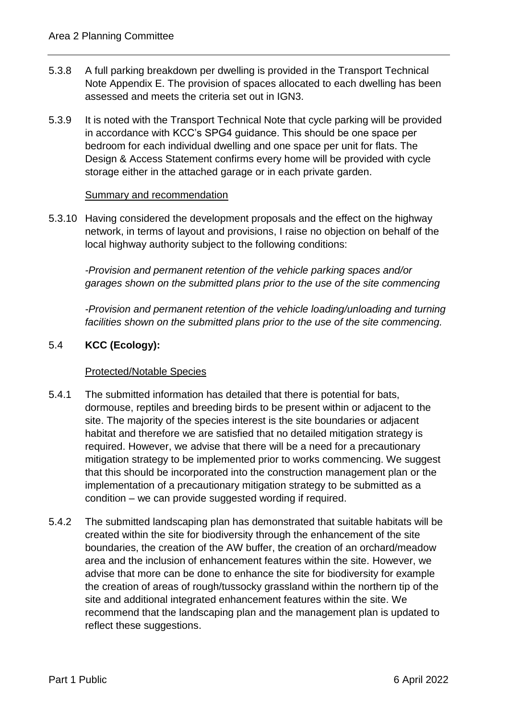- 5.3.8 A full parking breakdown per dwelling is provided in the Transport Technical Note Appendix E. The provision of spaces allocated to each dwelling has been assessed and meets the criteria set out in IGN3.
- 5.3.9 It is noted with the Transport Technical Note that cycle parking will be provided in accordance with KCC's SPG4 guidance. This should be one space per bedroom for each individual dwelling and one space per unit for flats. The Design & Access Statement confirms every home will be provided with cycle storage either in the attached garage or in each private garden.

### Summary and recommendation

5.3.10 Having considered the development proposals and the effect on the highway network, in terms of layout and provisions, I raise no objection on behalf of the local highway authority subject to the following conditions:

*-Provision and permanent retention of the vehicle parking spaces and/or garages shown on the submitted plans prior to the use of the site commencing*

*-Provision and permanent retention of the vehicle loading/unloading and turning facilities shown on the submitted plans prior to the use of the site commencing.*

## 5.4 **KCC (Ecology):**

## Protected/Notable Species

- 5.4.1 The submitted information has detailed that there is potential for bats, dormouse, reptiles and breeding birds to be present within or adjacent to the site. The majority of the species interest is the site boundaries or adjacent habitat and therefore we are satisfied that no detailed mitigation strategy is required. However, we advise that there will be a need for a precautionary mitigation strategy to be implemented prior to works commencing. We suggest that this should be incorporated into the construction management plan or the implementation of a precautionary mitigation strategy to be submitted as a condition – we can provide suggested wording if required.
- 5.4.2 The submitted landscaping plan has demonstrated that suitable habitats will be created within the site for biodiversity through the enhancement of the site boundaries, the creation of the AW buffer, the creation of an orchard/meadow area and the inclusion of enhancement features within the site. However, we advise that more can be done to enhance the site for biodiversity for example the creation of areas of rough/tussocky grassland within the northern tip of the site and additional integrated enhancement features within the site. We recommend that the landscaping plan and the management plan is updated to reflect these suggestions.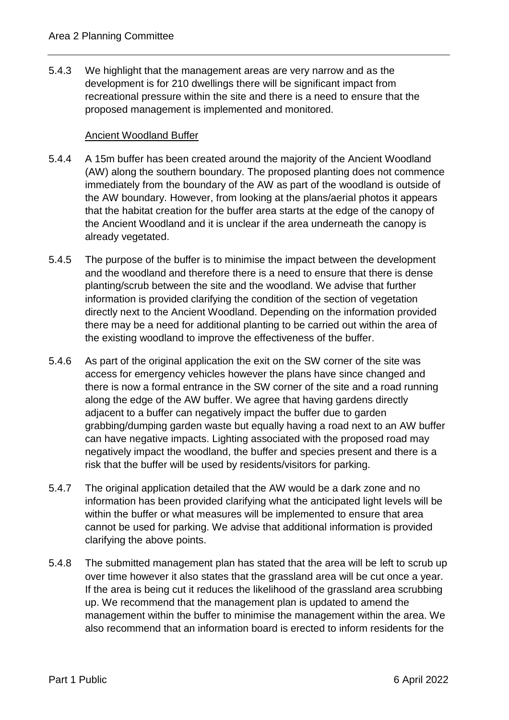5.4.3 We highlight that the management areas are very narrow and as the development is for 210 dwellings there will be significant impact from recreational pressure within the site and there is a need to ensure that the proposed management is implemented and monitored.

### Ancient Woodland Buffer

- 5.4.4 A 15m buffer has been created around the majority of the Ancient Woodland (AW) along the southern boundary. The proposed planting does not commence immediately from the boundary of the AW as part of the woodland is outside of the AW boundary. However, from looking at the plans/aerial photos it appears that the habitat creation for the buffer area starts at the edge of the canopy of the Ancient Woodland and it is unclear if the area underneath the canopy is already vegetated.
- 5.4.5 The purpose of the buffer is to minimise the impact between the development and the woodland and therefore there is a need to ensure that there is dense planting/scrub between the site and the woodland. We advise that further information is provided clarifying the condition of the section of vegetation directly next to the Ancient Woodland. Depending on the information provided there may be a need for additional planting to be carried out within the area of the existing woodland to improve the effectiveness of the buffer.
- 5.4.6 As part of the original application the exit on the SW corner of the site was access for emergency vehicles however the plans have since changed and there is now a formal entrance in the SW corner of the site and a road running along the edge of the AW buffer. We agree that having gardens directly adjacent to a buffer can negatively impact the buffer due to garden grabbing/dumping garden waste but equally having a road next to an AW buffer can have negative impacts. Lighting associated with the proposed road may negatively impact the woodland, the buffer and species present and there is a risk that the buffer will be used by residents/visitors for parking.
- 5.4.7 The original application detailed that the AW would be a dark zone and no information has been provided clarifying what the anticipated light levels will be within the buffer or what measures will be implemented to ensure that area cannot be used for parking. We advise that additional information is provided clarifying the above points.
- 5.4.8 The submitted management plan has stated that the area will be left to scrub up over time however it also states that the grassland area will be cut once a year. If the area is being cut it reduces the likelihood of the grassland area scrubbing up. We recommend that the management plan is updated to amend the management within the buffer to minimise the management within the area. We also recommend that an information board is erected to inform residents for the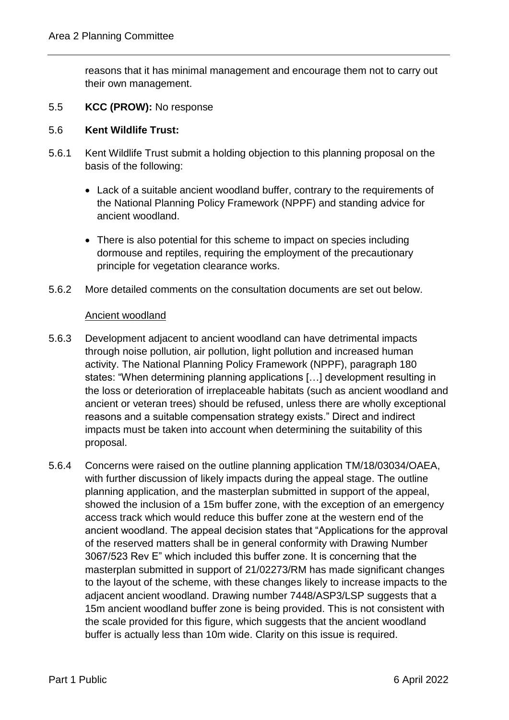reasons that it has minimal management and encourage them not to carry out their own management.

## 5.5 **KCC (PROW):** No response

## 5.6 **Kent Wildlife Trust:**

- 5.6.1 Kent Wildlife Trust submit a holding objection to this planning proposal on the basis of the following:
	- Lack of a suitable ancient woodland buffer, contrary to the requirements of the National Planning Policy Framework (NPPF) and standing advice for ancient woodland.
	- There is also potential for this scheme to impact on species including dormouse and reptiles, requiring the employment of the precautionary principle for vegetation clearance works.
- 5.6.2 More detailed comments on the consultation documents are set out below.

### Ancient woodland

- 5.6.3 Development adjacent to ancient woodland can have detrimental impacts through noise pollution, air pollution, light pollution and increased human activity. The National Planning Policy Framework (NPPF), paragraph 180 states: "When determining planning applications […] development resulting in the loss or deterioration of irreplaceable habitats (such as ancient woodland and ancient or veteran trees) should be refused, unless there are wholly exceptional reasons and a suitable compensation strategy exists." Direct and indirect impacts must be taken into account when determining the suitability of this proposal.
- 5.6.4 Concerns were raised on the outline planning application TM/18/03034/OAEA, with further discussion of likely impacts during the appeal stage. The outline planning application, and the masterplan submitted in support of the appeal, showed the inclusion of a 15m buffer zone, with the exception of an emergency access track which would reduce this buffer zone at the western end of the ancient woodland. The appeal decision states that "Applications for the approval of the reserved matters shall be in general conformity with Drawing Number 3067/523 Rev E" which included this buffer zone. It is concerning that the masterplan submitted in support of 21/02273/RM has made significant changes to the layout of the scheme, with these changes likely to increase impacts to the adjacent ancient woodland. Drawing number 7448/ASP3/LSP suggests that a 15m ancient woodland buffer zone is being provided. This is not consistent with the scale provided for this figure, which suggests that the ancient woodland buffer is actually less than 10m wide. Clarity on this issue is required.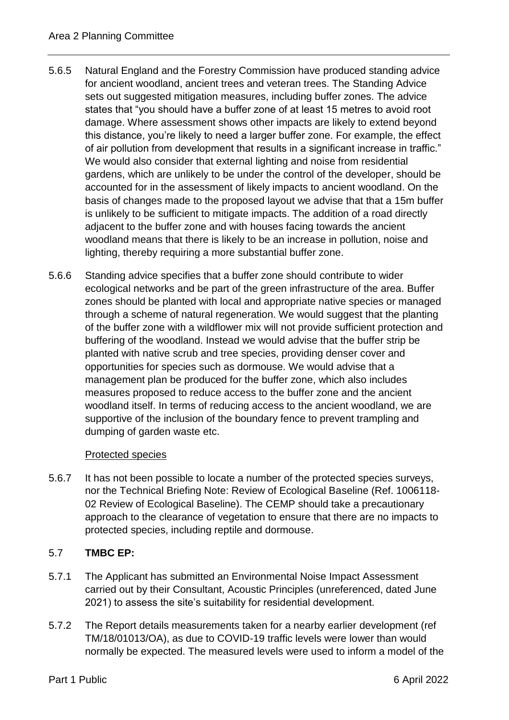- 5.6.5 Natural England and the Forestry Commission have produced standing advice for ancient woodland, ancient trees and veteran trees. The Standing Advice sets out suggested mitigation measures, including buffer zones. The advice states that "you should have a buffer zone of at least 15 metres to avoid root damage. Where assessment shows other impacts are likely to extend beyond this distance, you're likely to need a larger buffer zone. For example, the effect of air pollution from development that results in a significant increase in traffic." We would also consider that external lighting and noise from residential gardens, which are unlikely to be under the control of the developer, should be accounted for in the assessment of likely impacts to ancient woodland. On the basis of changes made to the proposed layout we advise that that a 15m buffer is unlikely to be sufficient to mitigate impacts. The addition of a road directly adjacent to the buffer zone and with houses facing towards the ancient woodland means that there is likely to be an increase in pollution, noise and lighting, thereby requiring a more substantial buffer zone.
- 5.6.6 Standing advice specifies that a buffer zone should contribute to wider ecological networks and be part of the green infrastructure of the area. Buffer zones should be planted with local and appropriate native species or managed through a scheme of natural regeneration. We would suggest that the planting of the buffer zone with a wildflower mix will not provide sufficient protection and buffering of the woodland. Instead we would advise that the buffer strip be planted with native scrub and tree species, providing denser cover and opportunities for species such as dormouse. We would advise that a management plan be produced for the buffer zone, which also includes measures proposed to reduce access to the buffer zone and the ancient woodland itself. In terms of reducing access to the ancient woodland, we are supportive of the inclusion of the boundary fence to prevent trampling and dumping of garden waste etc.

## Protected species

5.6.7 It has not been possible to locate a number of the protected species surveys, nor the Technical Briefing Note: Review of Ecological Baseline (Ref. 1006118- 02 Review of Ecological Baseline). The CEMP should take a precautionary approach to the clearance of vegetation to ensure that there are no impacts to protected species, including reptile and dormouse.

# 5.7 **TMBC EP:**

- 5.7.1 The Applicant has submitted an Environmental Noise Impact Assessment carried out by their Consultant, Acoustic Principles (unreferenced, dated June 2021) to assess the site's suitability for residential development.
- 5.7.2 The Report details measurements taken for a nearby earlier development (ref TM/18/01013/OA), as due to COVID-19 traffic levels were lower than would normally be expected. The measured levels were used to inform a model of the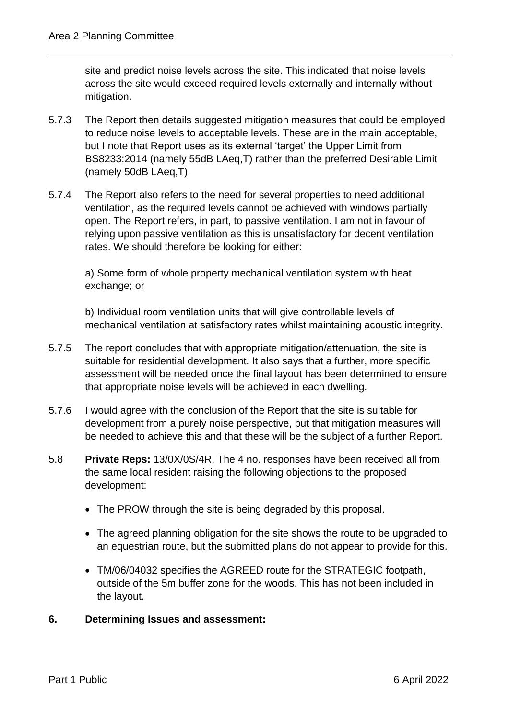site and predict noise levels across the site. This indicated that noise levels across the site would exceed required levels externally and internally without mitigation.

- 5.7.3 The Report then details suggested mitigation measures that could be employed to reduce noise levels to acceptable levels. These are in the main acceptable, but I note that Report uses as its external 'target' the Upper Limit from BS8233:2014 (namely 55dB LAeq,T) rather than the preferred Desirable Limit (namely 50dB LAeq,T).
- 5.7.4 The Report also refers to the need for several properties to need additional ventilation, as the required levels cannot be achieved with windows partially open. The Report refers, in part, to passive ventilation. I am not in favour of relying upon passive ventilation as this is unsatisfactory for decent ventilation rates. We should therefore be looking for either:

a) Some form of whole property mechanical ventilation system with heat exchange; or

b) Individual room ventilation units that will give controllable levels of mechanical ventilation at satisfactory rates whilst maintaining acoustic integrity.

- 5.7.5 The report concludes that with appropriate mitigation/attenuation, the site is suitable for residential development. It also says that a further, more specific assessment will be needed once the final layout has been determined to ensure that appropriate noise levels will be achieved in each dwelling.
- 5.7.6 I would agree with the conclusion of the Report that the site is suitable for development from a purely noise perspective, but that mitigation measures will be needed to achieve this and that these will be the subject of a further Report.
- 5.8 **Private Reps:** 13/0X/0S/4R. The 4 no. responses have been received all from the same local resident raising the following objections to the proposed development:
	- The PROW through the site is being degraded by this proposal.
	- The agreed planning obligation for the site shows the route to be upgraded to an equestrian route, but the submitted plans do not appear to provide for this.
	- TM/06/04032 specifies the AGREED route for the STRATEGIC footpath, outside of the 5m buffer zone for the woods. This has not been included in the layout.
- **6. Determining Issues and assessment:**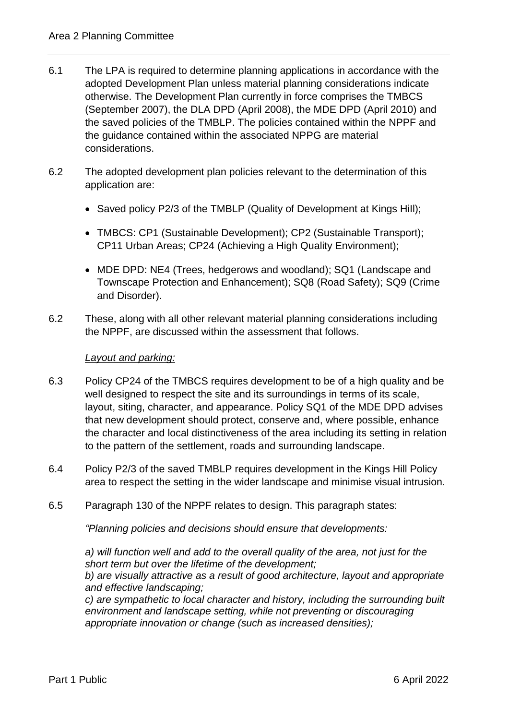- 6.1 The LPA is required to determine planning applications in accordance with the adopted Development Plan unless material planning considerations indicate otherwise. The Development Plan currently in force comprises the TMBCS (September 2007), the DLA DPD (April 2008), the MDE DPD (April 2010) and the saved policies of the TMBLP. The policies contained within the NPPF and the guidance contained within the associated NPPG are material considerations.
- 6.2 The adopted development plan policies relevant to the determination of this application are:
	- Saved policy P2/3 of the TMBLP (Quality of Development at Kings Hill);
	- TMBCS: CP1 (Sustainable Development); CP2 (Sustainable Transport); CP11 Urban Areas; CP24 (Achieving a High Quality Environment);
	- MDE DPD: NE4 (Trees, hedgerows and woodland); SQ1 (Landscape and Townscape Protection and Enhancement); SQ8 (Road Safety); SQ9 (Crime and Disorder).
- 6.2 These, along with all other relevant material planning considerations including the NPPF, are discussed within the assessment that follows.

# *Layout and parking:*

- 6.3 Policy CP24 of the TMBCS requires development to be of a high quality and be well designed to respect the site and its surroundings in terms of its scale, layout, siting, character, and appearance. Policy SQ1 of the MDE DPD advises that new development should protect, conserve and, where possible, enhance the character and local distinctiveness of the area including its setting in relation to the pattern of the settlement, roads and surrounding landscape.
- 6.4 Policy P2/3 of the saved TMBLP requires development in the Kings Hill Policy area to respect the setting in the wider landscape and minimise visual intrusion.
- 6.5 Paragraph 130 of the NPPF relates to design. This paragraph states:

*"Planning policies and decisions should ensure that developments:*

*a) will function well and add to the overall quality of the area, not just for the short term but over the lifetime of the development; b) are visually attractive as a result of good architecture, layout and appropriate and effective landscaping;* 

*c) are sympathetic to local character and history, including the surrounding built environment and landscape setting, while not preventing or discouraging appropriate innovation or change (such as increased densities);*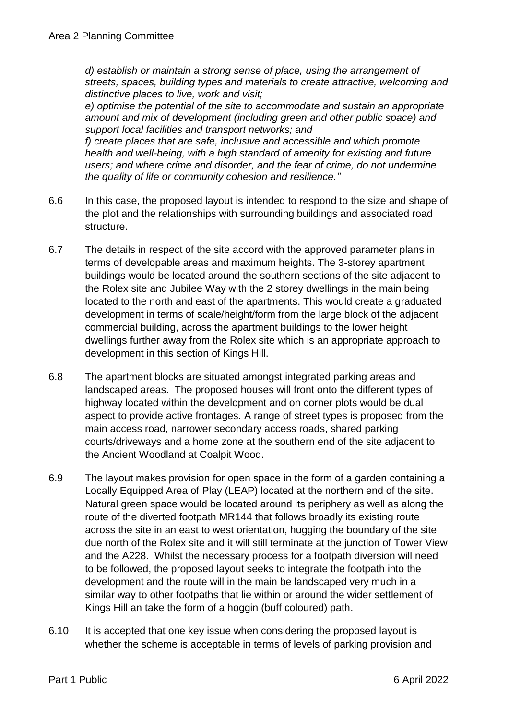*d) establish or maintain a strong sense of place, using the arrangement of streets, spaces, building types and materials to create attractive, welcoming and distinctive places to live, work and visit;*

*e) optimise the potential of the site to accommodate and sustain an appropriate amount and mix of development (including green and other public space) and support local facilities and transport networks; and*

*f) create places that are safe, inclusive and accessible and which promote health and well-being, with a high standard of amenity for existing and future users; and where crime and disorder, and the fear of crime, do not undermine the quality of life or community cohesion and resilience."*

- 6.6 In this case, the proposed layout is intended to respond to the size and shape of the plot and the relationships with surrounding buildings and associated road structure.
- 6.7 The details in respect of the site accord with the approved parameter plans in terms of developable areas and maximum heights. The 3-storey apartment buildings would be located around the southern sections of the site adjacent to the Rolex site and Jubilee Way with the 2 storey dwellings in the main being located to the north and east of the apartments. This would create a graduated development in terms of scale/height/form from the large block of the adjacent commercial building, across the apartment buildings to the lower height dwellings further away from the Rolex site which is an appropriate approach to development in this section of Kings Hill.
- 6.8 The apartment blocks are situated amongst integrated parking areas and landscaped areas. The proposed houses will front onto the different types of highway located within the development and on corner plots would be dual aspect to provide active frontages. A range of street types is proposed from the main access road, narrower secondary access roads, shared parking courts/driveways and a home zone at the southern end of the site adjacent to the Ancient Woodland at Coalpit Wood.
- 6.9 The layout makes provision for open space in the form of a garden containing a Locally Equipped Area of Play (LEAP) located at the northern end of the site. Natural green space would be located around its periphery as well as along the route of the diverted footpath MR144 that follows broadly its existing route across the site in an east to west orientation, hugging the boundary of the site due north of the Rolex site and it will still terminate at the junction of Tower View and the A228. Whilst the necessary process for a footpath diversion will need to be followed, the proposed layout seeks to integrate the footpath into the development and the route will in the main be landscaped very much in a similar way to other footpaths that lie within or around the wider settlement of Kings Hill an take the form of a hoggin (buff coloured) path.
- 6.10 It is accepted that one key issue when considering the proposed layout is whether the scheme is acceptable in terms of levels of parking provision and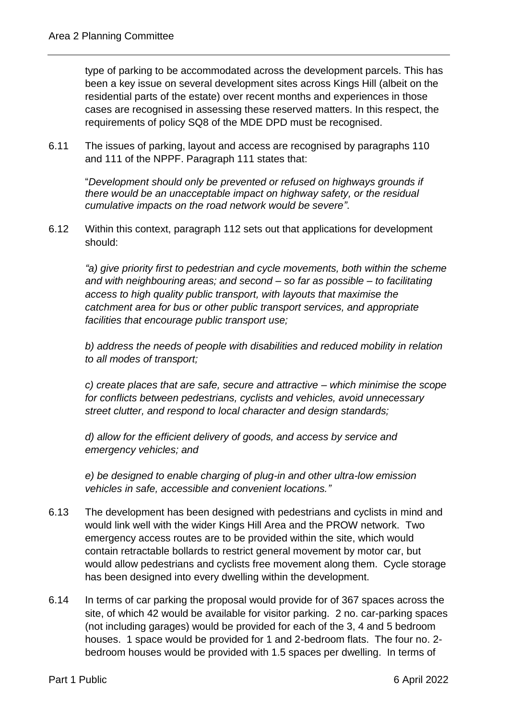type of parking to be accommodated across the development parcels. This has been a key issue on several development sites across Kings Hill (albeit on the residential parts of the estate) over recent months and experiences in those cases are recognised in assessing these reserved matters. In this respect, the requirements of policy SQ8 of the MDE DPD must be recognised.

6.11 The issues of parking, layout and access are recognised by paragraphs 110 and 111 of the NPPF. Paragraph 111 states that:

"*Development should only be prevented or refused on highways grounds if there would be an unacceptable impact on highway safety, or the residual cumulative impacts on the road network would be severe"*.

6.12 Within this context, paragraph 112 sets out that applications for development should:

*"a) give priority first to pedestrian and cycle movements, both within the scheme and with neighbouring areas; and second – so far as possible – to facilitating access to high quality public transport, with layouts that maximise the catchment area for bus or other public transport services, and appropriate facilities that encourage public transport use;* 

*b) address the needs of people with disabilities and reduced mobility in relation to all modes of transport;*

*c) create places that are safe, secure and attractive – which minimise the scope for conflicts between pedestrians, cyclists and vehicles, avoid unnecessary street clutter, and respond to local character and design standards;*

*d) allow for the efficient delivery of goods, and access by service and emergency vehicles; and*

*e) be designed to enable charging of plug-in and other ultra-low emission vehicles in safe, accessible and convenient locations."*

- 6.13 The development has been designed with pedestrians and cyclists in mind and would link well with the wider Kings Hill Area and the PROW network. Two emergency access routes are to be provided within the site, which would contain retractable bollards to restrict general movement by motor car, but would allow pedestrians and cyclists free movement along them. Cycle storage has been designed into every dwelling within the development.
- 6.14 In terms of car parking the proposal would provide for of 367 spaces across the site, of which 42 would be available for visitor parking. 2 no. car-parking spaces (not including garages) would be provided for each of the 3, 4 and 5 bedroom houses. 1 space would be provided for 1 and 2-bedroom flats. The four no. 2 bedroom houses would be provided with 1.5 spaces per dwelling. In terms of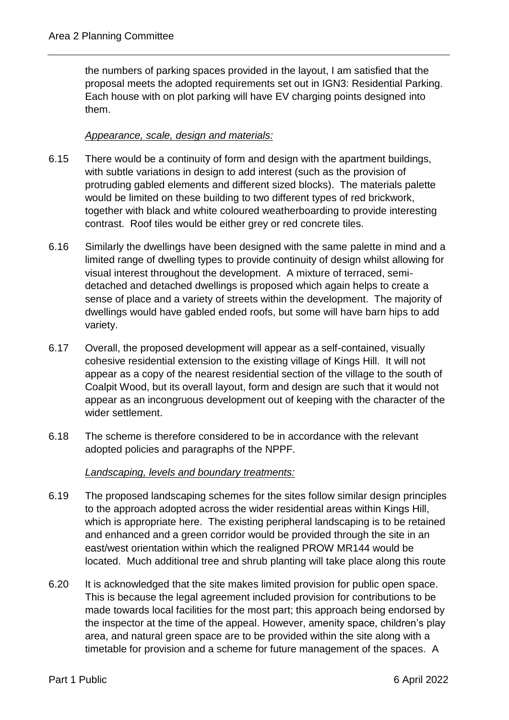the numbers of parking spaces provided in the layout, I am satisfied that the proposal meets the adopted requirements set out in IGN3: Residential Parking. Each house with on plot parking will have EV charging points designed into them.

## *Appearance, scale, design and materials:*

- 6.15 There would be a continuity of form and design with the apartment buildings, with subtle variations in design to add interest (such as the provision of protruding gabled elements and different sized blocks). The materials palette would be limited on these building to two different types of red brickwork, together with black and white coloured weatherboarding to provide interesting contrast. Roof tiles would be either grey or red concrete tiles.
- 6.16 Similarly the dwellings have been designed with the same palette in mind and a limited range of dwelling types to provide continuity of design whilst allowing for visual interest throughout the development. A mixture of terraced, semidetached and detached dwellings is proposed which again helps to create a sense of place and a variety of streets within the development. The majority of dwellings would have gabled ended roofs, but some will have barn hips to add variety.
- 6.17 Overall, the proposed development will appear as a self-contained, visually cohesive residential extension to the existing village of Kings Hill. It will not appear as a copy of the nearest residential section of the village to the south of Coalpit Wood, but its overall layout, form and design are such that it would not appear as an incongruous development out of keeping with the character of the wider settlement.
- 6.18 The scheme is therefore considered to be in accordance with the relevant adopted policies and paragraphs of the NPPF.

## *Landscaping, levels and boundary treatments:*

- 6.19 The proposed landscaping schemes for the sites follow similar design principles to the approach adopted across the wider residential areas within Kings Hill, which is appropriate here. The existing peripheral landscaping is to be retained and enhanced and a green corridor would be provided through the site in an east/west orientation within which the realigned PROW MR144 would be located. Much additional tree and shrub planting will take place along this route
- 6.20 It is acknowledged that the site makes limited provision for public open space. This is because the legal agreement included provision for contributions to be made towards local facilities for the most part; this approach being endorsed by the inspector at the time of the appeal. However, amenity space, children's play area, and natural green space are to be provided within the site along with a timetable for provision and a scheme for future management of the spaces. A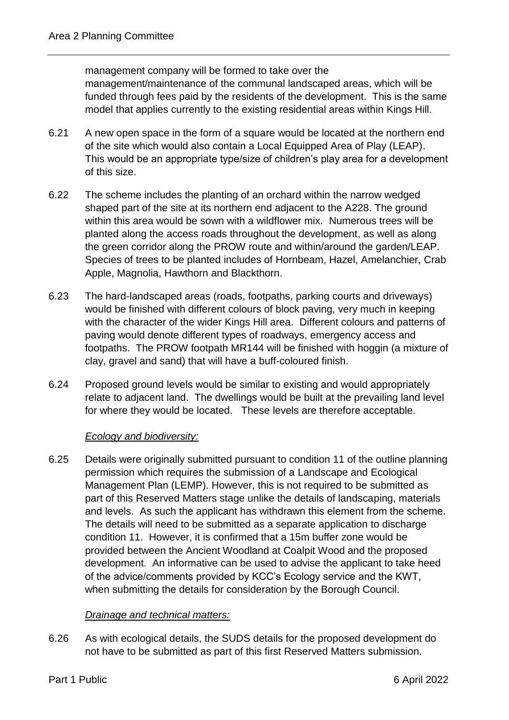management company will be formed to take over the management/maintenance of the communal landscaped areas, which will be funded through fees paid by the residents of the development. This is the same model that applies currently to the existing residential areas within Kings Hill.

- 6.21 A new open space in the form of a square would be located at the northern end of the site which would also contain a Local Equipped Area of Play (LEAP). This would be an appropriate type/size of children's play area for a development of this size.
- 6.22 The scheme includes the planting of an orchard within the narrow wedged shaped part of the site at its northern end adjacent to the A228. The ground within this area would be sown with a wildflower mix. Numerous trees will be planted along the access roads throughout the development, as well as along the green corridor along the PROW route and within/around the garden/LEAP. Species of trees to be planted includes of Hornbeam, Hazel, Amelanchier, Crab Apple, Magnolia, Hawthorn and Blackthorn.
- 6.23 The hard-landscaped areas (roads, footpaths, parking courts and driveways) would be finished with different colours of block paving, very much in keeping with the character of the wider Kings Hill area. Different colours and patterns of paving would denote different types of roadways, emergency access and footpaths. The PROW footpath MR144 will be finished with hoggin (a mixture of clay, gravel and sand) that will have a buff-coloured finish.
- 6.24 Proposed ground levels would be similar to existing and would appropriately relate to adjacent land. The dwellings would be built at the prevailing land level for where they would be located. These levels are therefore acceptable.

## *Ecology and biodiversity:*

6.25 Details were originally submitted pursuant to condition 11 of the outline planning permission which requires the submission of a Landscape and Ecological Management Plan (LEMP). However, this is not required to be submitted as part of this Reserved Matters stage unlike the details of landscaping, materials and levels. As such the applicant has withdrawn this element from the scheme. The details will need to be submitted as a separate application to discharge condition 11. However, it is confirmed that a 15m buffer zone would be provided between the Ancient Woodland at Coalpit Wood and the proposed development. An informative can be used to advise the applicant to take heed of the advice/comments provided by KCC's Ecology service and the KWT, when submitting the details for consideration by the Borough Council.

## *Drainage and technical matters:*

6.26 As with ecological details, the SUDS details for the proposed development do not have to be submitted as part of this first Reserved Matters submission.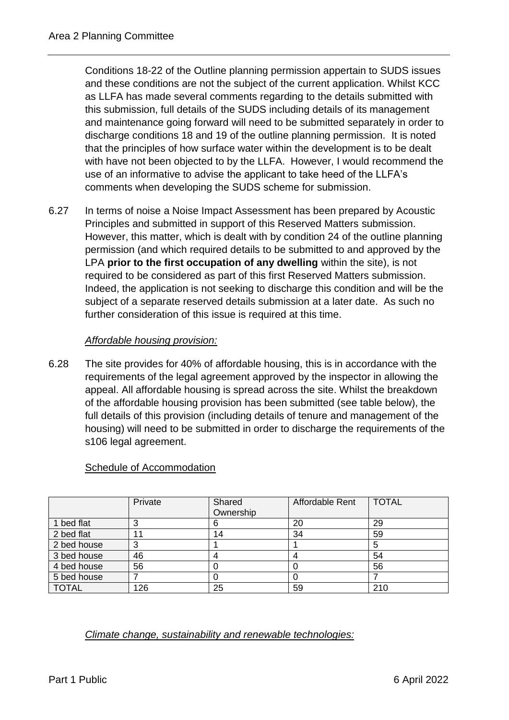Conditions 18-22 of the Outline planning permission appertain to SUDS issues and these conditions are not the subject of the current application. Whilst KCC as LLFA has made several comments regarding to the details submitted with this submission, full details of the SUDS including details of its management and maintenance going forward will need to be submitted separately in order to discharge conditions 18 and 19 of the outline planning permission. It is noted that the principles of how surface water within the development is to be dealt with have not been objected to by the LLFA. However, I would recommend the use of an informative to advise the applicant to take heed of the LLFA's comments when developing the SUDS scheme for submission.

6.27 In terms of noise a Noise Impact Assessment has been prepared by Acoustic Principles and submitted in support of this Reserved Matters submission. However, this matter, which is dealt with by condition 24 of the outline planning permission (and which required details to be submitted to and approved by the LPA **prior to the first occupation of any dwelling** within the site), is not required to be considered as part of this first Reserved Matters submission. Indeed, the application is not seeking to discharge this condition and will be the subject of a separate reserved details submission at a later date. As such no further consideration of this issue is required at this time.

# *Affordable housing provision:*

6.28 The site provides for 40% of affordable housing, this is in accordance with the requirements of the legal agreement approved by the inspector in allowing the appeal. All affordable housing is spread across the site. Whilst the breakdown of the affordable housing provision has been submitted (see table below), the full details of this provision (including details of tenure and management of the housing) will need to be submitted in order to discharge the requirements of the s106 legal agreement.

|              | Private | Shared    | Affordable Rent | <b>TOTAL</b> |
|--------------|---------|-----------|-----------------|--------------|
|              |         | Ownership |                 |              |
| 1 bed flat   |         |           | 20              | 29           |
| 2 bed flat   |         | 14        | 34              | 59           |
| 2 bed house  |         |           |                 |              |
| 3 bed house  | 46      |           |                 | 54           |
| 4 bed house  | 56      |           |                 | 56           |
| 5 bed house  |         |           |                 |              |
| <b>TOTAL</b> | 126     | 25        | 59              | 210          |

## Schedule of Accommodation

*Climate change, sustainability and renewable technologies:*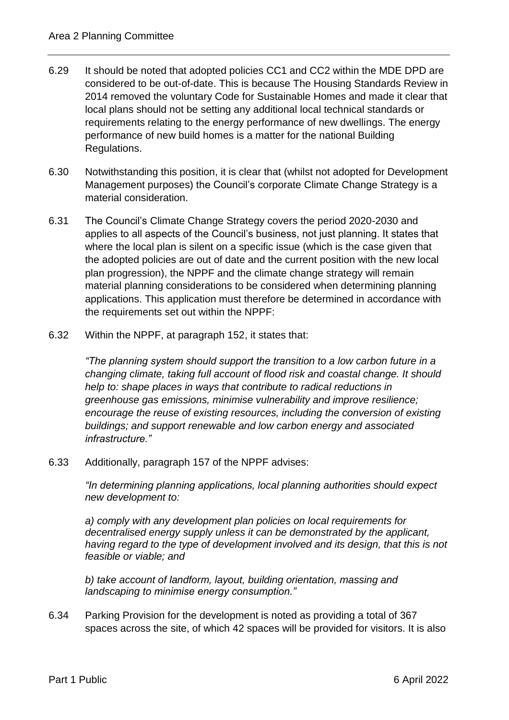- 6.29 It should be noted that adopted policies CC1 and CC2 within the MDE DPD are considered to be out-of-date. This is because The Housing Standards Review in 2014 removed the voluntary Code for Sustainable Homes and made it clear that local plans should not be setting any additional local technical standards or requirements relating to the energy performance of new dwellings. The energy performance of new build homes is a matter for the national Building Regulations.
- 6.30 Notwithstanding this position, it is clear that (whilst not adopted for Development Management purposes) the Council's corporate Climate Change Strategy is a material consideration.
- 6.31 The Council's Climate Change Strategy covers the period 2020-2030 and applies to all aspects of the Council's business, not just planning. It states that where the local plan is silent on a specific issue (which is the case given that the adopted policies are out of date and the current position with the new local plan progression), the NPPF and the climate change strategy will remain material planning considerations to be considered when determining planning applications. This application must therefore be determined in accordance with the requirements set out within the NPPF:
- 6.32 Within the NPPF, at paragraph 152, it states that:

*"The planning system should support the transition to a low carbon future in a changing climate, taking full account of flood risk and coastal change. It should help to: shape places in ways that contribute to radical reductions in greenhouse gas emissions, minimise vulnerability and improve resilience; encourage the reuse of existing resources, including the conversion of existing buildings; and support renewable and low carbon energy and associated infrastructure."*

6.33 Additionally, paragraph 157 of the NPPF advises:

*"In determining planning applications, local planning authorities should expect new development to:*

*a) comply with any development plan policies on local requirements for decentralised energy supply unless it can be demonstrated by the applicant, having regard to the type of development involved and its design, that this is not feasible or viable; and*

*b) take account of landform, layout, building orientation, massing and landscaping to minimise energy consumption."*

6.34 Parking Provision for the development is noted as providing a total of 367 spaces across the site, of which 42 spaces will be provided for visitors. It is also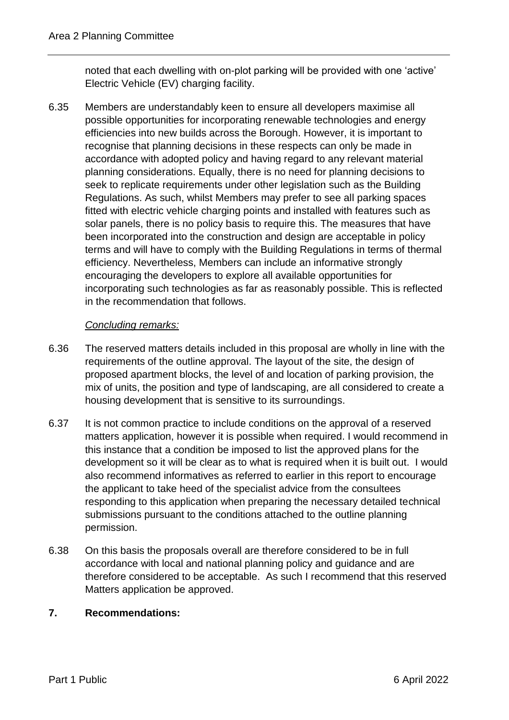noted that each dwelling with on-plot parking will be provided with one 'active' Electric Vehicle (EV) charging facility.

6.35 Members are understandably keen to ensure all developers maximise all possible opportunities for incorporating renewable technologies and energy efficiencies into new builds across the Borough. However, it is important to recognise that planning decisions in these respects can only be made in accordance with adopted policy and having regard to any relevant material planning considerations. Equally, there is no need for planning decisions to seek to replicate requirements under other legislation such as the Building Regulations. As such, whilst Members may prefer to see all parking spaces fitted with electric vehicle charging points and installed with features such as solar panels, there is no policy basis to require this. The measures that have been incorporated into the construction and design are acceptable in policy terms and will have to comply with the Building Regulations in terms of thermal efficiency. Nevertheless, Members can include an informative strongly encouraging the developers to explore all available opportunities for incorporating such technologies as far as reasonably possible. This is reflected in the recommendation that follows.

# *Concluding remarks:*

- 6.36 The reserved matters details included in this proposal are wholly in line with the requirements of the outline approval. The layout of the site, the design of proposed apartment blocks, the level of and location of parking provision, the mix of units, the position and type of landscaping, are all considered to create a housing development that is sensitive to its surroundings.
- 6.37 It is not common practice to include conditions on the approval of a reserved matters application, however it is possible when required. I would recommend in this instance that a condition be imposed to list the approved plans for the development so it will be clear as to what is required when it is built out. I would also recommend informatives as referred to earlier in this report to encourage the applicant to take heed of the specialist advice from the consultees responding to this application when preparing the necessary detailed technical submissions pursuant to the conditions attached to the outline planning permission.
- 6.38 On this basis the proposals overall are therefore considered to be in full accordance with local and national planning policy and guidance and are therefore considered to be acceptable. As such I recommend that this reserved Matters application be approved.

# **7. Recommendations:**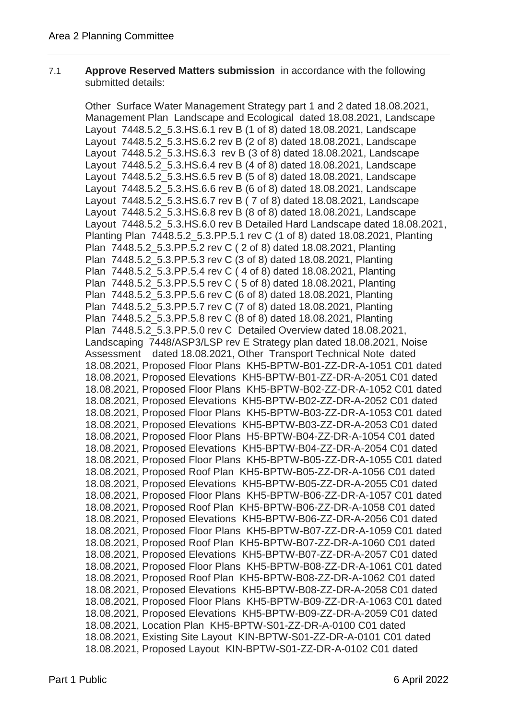#### 7.1 **Approve Reserved Matters submission** in accordance with the following submitted details:

Other Surface Water Management Strategy part 1 and 2 dated 18.08.2021, Management Plan Landscape and Ecological dated 18.08.2021, Landscape Layout 7448.5.2\_5.3.HS.6.1 rev B (1 of 8) dated 18.08.2021, Landscape Layout 7448.5.2\_5.3.HS.6.2 rev B (2 of 8) dated 18.08.2021, Landscape Layout 7448.5.2\_5.3.HS.6.3 rev B (3 of 8) dated 18.08.2021, Landscape Layout 7448.5.2\_5.3.HS.6.4 rev B (4 of 8) dated 18.08.2021, Landscape Layout 7448.5.2\_5.3.HS.6.5 rev B (5 of 8) dated 18.08.2021, Landscape Layout 7448.5.2\_5.3.HS.6.6 rev B (6 of 8) dated 18.08.2021, Landscape Layout 7448.5.2\_5.3.HS.6.7 rev B ( 7 of 8) dated 18.08.2021, Landscape Layout 7448.5.2\_5.3.HS.6.8 rev B (8 of 8) dated 18.08.2021, Landscape Layout 7448.5.2\_5.3.HS.6.0 rev B Detailed Hard Landscape dated 18.08.2021, Planting Plan 7448.5.2\_5.3.PP.5.1 rev C (1 of 8) dated 18.08.2021, Planting Plan 7448.5.2\_5.3.PP.5.2 rev C ( 2 of 8) dated 18.08.2021, Planting Plan 7448.5.2\_5.3.PP.5.3 rev C (3 of 8) dated 18.08.2021, Planting Plan 7448.5.2\_5.3.PP.5.4 rev C ( 4 of 8) dated 18.08.2021, Planting Plan 7448.5.2\_5.3.PP.5.5 rev C ( 5 of 8) dated 18.08.2021, Planting Plan 7448.5.2\_5.3.PP.5.6 rev C (6 of 8) dated 18.08.2021, Planting Plan 7448.5.2\_5.3.PP.5.7 rev C (7 of 8) dated 18.08.2021, Planting Plan 7448.5.2\_5.3.PP.5.8 rev C (8 of 8) dated 18.08.2021, Planting Plan 7448.5.2\_5.3.PP.5.0 rev C Detailed Overview dated 18.08.2021, Landscaping 7448/ASP3/LSP rev E Strategy plan dated 18.08.2021, Noise Assessment dated 18.08.2021, Other Transport Technical Note dated 18.08.2021, Proposed Floor Plans KH5-BPTW-B01-ZZ-DR-A-1051 C01 dated 18.08.2021, Proposed Elevations KH5-BPTW-B01-ZZ-DR-A-2051 C01 dated 18.08.2021, Proposed Floor Plans KH5-BPTW-B02-ZZ-DR-A-1052 C01 dated 18.08.2021, Proposed Elevations KH5-BPTW-B02-ZZ-DR-A-2052 C01 dated 18.08.2021, Proposed Floor Plans KH5-BPTW-B03-ZZ-DR-A-1053 C01 dated 18.08.2021, Proposed Elevations KH5-BPTW-B03-ZZ-DR-A-2053 C01 dated 18.08.2021, Proposed Floor Plans H5-BPTW-B04-ZZ-DR-A-1054 C01 dated 18.08.2021, Proposed Elevations KH5-BPTW-B04-ZZ-DR-A-2054 C01 dated 18.08.2021, Proposed Floor Plans KH5-BPTW-B05-ZZ-DR-A-1055 C01 dated 18.08.2021, Proposed Roof Plan KH5-BPTW-B05-ZZ-DR-A-1056 C01 dated 18.08.2021, Proposed Elevations KH5-BPTW-B05-ZZ-DR-A-2055 C01 dated 18.08.2021, Proposed Floor Plans KH5-BPTW-B06-ZZ-DR-A-1057 C01 dated 18.08.2021, Proposed Roof Plan KH5-BPTW-B06-ZZ-DR-A-1058 C01 dated 18.08.2021, Proposed Elevations KH5-BPTW-B06-ZZ-DR-A-2056 C01 dated 18.08.2021, Proposed Floor Plans KH5-BPTW-B07-ZZ-DR-A-1059 C01 dated 18.08.2021, Proposed Roof Plan KH5-BPTW-B07-ZZ-DR-A-1060 C01 dated 18.08.2021, Proposed Elevations KH5-BPTW-B07-ZZ-DR-A-2057 C01 dated 18.08.2021, Proposed Floor Plans KH5-BPTW-B08-ZZ-DR-A-1061 C01 dated 18.08.2021, Proposed Roof Plan KH5-BPTW-B08-ZZ-DR-A-1062 C01 dated 18.08.2021, Proposed Elevations KH5-BPTW-B08-ZZ-DR-A-2058 C01 dated 18.08.2021, Proposed Floor Plans KH5-BPTW-B09-ZZ-DR-A-1063 C01 dated 18.08.2021, Proposed Elevations KH5-BPTW-B09-ZZ-DR-A-2059 C01 dated 18.08.2021, Location Plan KH5-BPTW-S01-ZZ-DR-A-0100 C01 dated 18.08.2021, Existing Site Layout KIN-BPTW-S01-ZZ-DR-A-0101 C01 dated 18.08.2021, Proposed Layout KIN-BPTW-S01-ZZ-DR-A-0102 C01 dated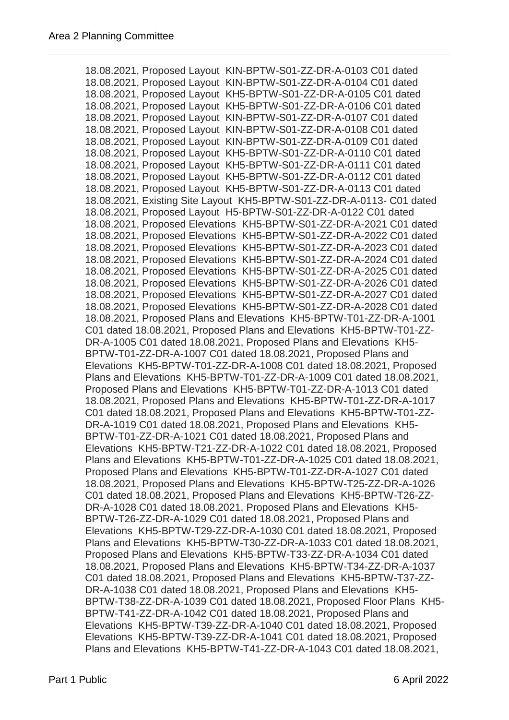18.08.2021, Proposed Layout KIN-BPTW-S01-ZZ-DR-A-0103 C01 dated 18.08.2021, Proposed Layout KIN-BPTW-S01-ZZ-DR-A-0104 C01 dated 18.08.2021, Proposed Layout KH5-BPTW-S01-ZZ-DR-A-0105 C01 dated 18.08.2021, Proposed Layout KH5-BPTW-S01-ZZ-DR-A-0106 C01 dated 18.08.2021, Proposed Layout KIN-BPTW-S01-ZZ-DR-A-0107 C01 dated 18.08.2021, Proposed Layout KIN-BPTW-S01-ZZ-DR-A-0108 C01 dated 18.08.2021, Proposed Layout KIN-BPTW-S01-ZZ-DR-A-0109 C01 dated 18.08.2021, Proposed Layout KH5-BPTW-S01-ZZ-DR-A-0110 C01 dated 18.08.2021, Proposed Layout KH5-BPTW-S01-ZZ-DR-A-0111 C01 dated 18.08.2021, Proposed Layout KH5-BPTW-S01-ZZ-DR-A-0112 C01 dated 18.08.2021, Proposed Layout KH5-BPTW-S01-ZZ-DR-A-0113 C01 dated 18.08.2021, Existing Site Layout KH5-BPTW-S01-ZZ-DR-A-0113- C01 dated 18.08.2021, Proposed Layout H5-BPTW-S01-ZZ-DR-A-0122 C01 dated 18.08.2021, Proposed Elevations KH5-BPTW-S01-ZZ-DR-A-2021 C01 dated 18.08.2021, Proposed Elevations KH5-BPTW-S01-ZZ-DR-A-2022 C01 dated 18.08.2021, Proposed Elevations KH5-BPTW-S01-ZZ-DR-A-2023 C01 dated 18.08.2021, Proposed Elevations KH5-BPTW-S01-ZZ-DR-A-2024 C01 dated 18.08.2021, Proposed Elevations KH5-BPTW-S01-ZZ-DR-A-2025 C01 dated 18.08.2021, Proposed Elevations KH5-BPTW-S01-ZZ-DR-A-2026 C01 dated 18.08.2021, Proposed Elevations KH5-BPTW-S01-ZZ-DR-A-2027 C01 dated 18.08.2021, Proposed Elevations KH5-BPTW-S01-ZZ-DR-A-2028 C01 dated 18.08.2021, Proposed Plans and Elevations KH5-BPTW-T01-ZZ-DR-A-1001 C01 dated 18.08.2021, Proposed Plans and Elevations KH5-BPTW-T01-ZZ-DR-A-1005 C01 dated 18.08.2021, Proposed Plans and Elevations KH5- BPTW-T01-ZZ-DR-A-1007 C01 dated 18.08.2021, Proposed Plans and Elevations KH5-BPTW-T01-ZZ-DR-A-1008 C01 dated 18.08.2021, Proposed Plans and Elevations KH5-BPTW-T01-ZZ-DR-A-1009 C01 dated 18.08.2021, Proposed Plans and Elevations KH5-BPTW-T01-ZZ-DR-A-1013 C01 dated 18.08.2021, Proposed Plans and Elevations KH5-BPTW-T01-ZZ-DR-A-1017 C01 dated 18.08.2021, Proposed Plans and Elevations KH5-BPTW-T01-ZZ-DR-A-1019 C01 dated 18.08.2021, Proposed Plans and Elevations KH5- BPTW-T01-ZZ-DR-A-1021 C01 dated 18.08.2021, Proposed Plans and Elevations KH5-BPTW-T21-ZZ-DR-A-1022 C01 dated 18.08.2021, Proposed Plans and Elevations KH5-BPTW-T01-ZZ-DR-A-1025 C01 dated 18.08.2021, Proposed Plans and Elevations KH5-BPTW-T01-ZZ-DR-A-1027 C01 dated 18.08.2021, Proposed Plans and Elevations KH5-BPTW-T25-ZZ-DR-A-1026 C01 dated 18.08.2021, Proposed Plans and Elevations KH5-BPTW-T26-ZZ-DR-A-1028 C01 dated 18.08.2021, Proposed Plans and Elevations KH5- BPTW-T26-ZZ-DR-A-1029 C01 dated 18.08.2021, Proposed Plans and Elevations KH5-BPTW-T29-ZZ-DR-A-1030 C01 dated 18.08.2021, Proposed Plans and Elevations KH5-BPTW-T30-ZZ-DR-A-1033 C01 dated 18.08.2021, Proposed Plans and Elevations KH5-BPTW-T33-ZZ-DR-A-1034 C01 dated 18.08.2021, Proposed Plans and Elevations KH5-BPTW-T34-ZZ-DR-A-1037 C01 dated 18.08.2021, Proposed Plans and Elevations KH5-BPTW-T37-ZZ-DR-A-1038 C01 dated 18.08.2021, Proposed Plans and Elevations KH5- BPTW-T38-ZZ-DR-A-1039 C01 dated 18.08.2021, Proposed Floor Plans KH5- BPTW-T41-ZZ-DR-A-1042 C01 dated 18.08.2021, Proposed Plans and Elevations KH5-BPTW-T39-ZZ-DR-A-1040 C01 dated 18.08.2021, Proposed Elevations KH5-BPTW-T39-ZZ-DR-A-1041 C01 dated 18.08.2021, Proposed Plans and Elevations KH5-BPTW-T41-ZZ-DR-A-1043 C01 dated 18.08.2021,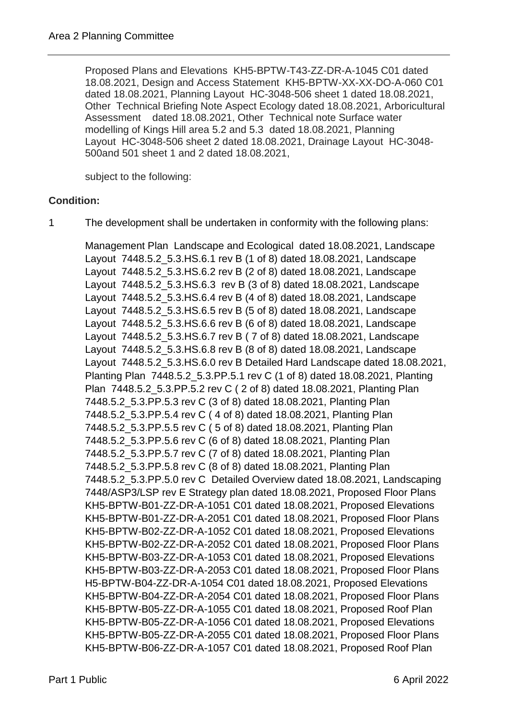Proposed Plans and Elevations KH5-BPTW-T43-ZZ-DR-A-1045 C01 dated 18.08.2021, Design and Access Statement KH5-BPTW-XX-XX-DO-A-060 C01 dated 18.08.2021, Planning Layout HC-3048-506 sheet 1 dated 18.08.2021, Other Technical Briefing Note Aspect Ecology dated 18.08.2021, Arboricultural Assessment dated 18.08.2021, Other Technical note Surface water modelling of Kings Hill area 5.2 and 5.3 dated 18.08.2021, Planning Layout HC-3048-506 sheet 2 dated 18.08.2021, Drainage Layout HC-3048- 500and 501 sheet 1 and 2 dated 18.08.2021,

subject to the following:

## **Condition:**

1 The development shall be undertaken in conformity with the following plans:

Management Plan Landscape and Ecological dated 18.08.2021, Landscape Layout 7448.5.2\_5.3.HS.6.1 rev B (1 of 8) dated 18.08.2021, Landscape Layout 7448.5.2\_5.3.HS.6.2 rev B (2 of 8) dated 18.08.2021, Landscape Layout 7448.5.2\_5.3.HS.6.3 rev B (3 of 8) dated 18.08.2021, Landscape Layout 7448.5.2\_5.3.HS.6.4 rev B (4 of 8) dated 18.08.2021, Landscape Layout 7448.5.2\_5.3.HS.6.5 rev B (5 of 8) dated 18.08.2021, Landscape Layout 7448.5.2\_5.3.HS.6.6 rev B (6 of 8) dated 18.08.2021, Landscape Layout 7448.5.2\_5.3.HS.6.7 rev B ( 7 of 8) dated 18.08.2021, Landscape Layout 7448.5.2\_5.3.HS.6.8 rev B (8 of 8) dated 18.08.2021, Landscape Layout 7448.5.2\_5.3.HS.6.0 rev B Detailed Hard Landscape dated 18.08.2021, Planting Plan 7448.5.2\_5.3.PP.5.1 rev C (1 of 8) dated 18.08.2021, Planting Plan 7448.5.2\_5.3.PP.5.2 rev C ( 2 of 8) dated 18.08.2021, Planting Plan 7448.5.2\_5.3.PP.5.3 rev C (3 of 8) dated 18.08.2021, Planting Plan 7448.5.2\_5.3.PP.5.4 rev C ( 4 of 8) dated 18.08.2021, Planting Plan 7448.5.2\_5.3.PP.5.5 rev C ( 5 of 8) dated 18.08.2021, Planting Plan 7448.5.2\_5.3.PP.5.6 rev C (6 of 8) dated 18.08.2021, Planting Plan 7448.5.2\_5.3.PP.5.7 rev C (7 of 8) dated 18.08.2021, Planting Plan 7448.5.2\_5.3.PP.5.8 rev C (8 of 8) dated 18.08.2021, Planting Plan 7448.5.2\_5.3.PP.5.0 rev C Detailed Overview dated 18.08.2021, Landscaping 7448/ASP3/LSP rev E Strategy plan dated 18.08.2021, Proposed Floor Plans KH5-BPTW-B01-ZZ-DR-A-1051 C01 dated 18.08.2021, Proposed Elevations KH5-BPTW-B01-ZZ-DR-A-2051 C01 dated 18.08.2021, Proposed Floor Plans KH5-BPTW-B02-ZZ-DR-A-1052 C01 dated 18.08.2021, Proposed Elevations KH5-BPTW-B02-ZZ-DR-A-2052 C01 dated 18.08.2021, Proposed Floor Plans KH5-BPTW-B03-ZZ-DR-A-1053 C01 dated 18.08.2021, Proposed Elevations KH5-BPTW-B03-ZZ-DR-A-2053 C01 dated 18.08.2021, Proposed Floor Plans H5-BPTW-B04-ZZ-DR-A-1054 C01 dated 18.08.2021, Proposed Elevations KH5-BPTW-B04-ZZ-DR-A-2054 C01 dated 18.08.2021, Proposed Floor Plans KH5-BPTW-B05-ZZ-DR-A-1055 C01 dated 18.08.2021, Proposed Roof Plan KH5-BPTW-B05-ZZ-DR-A-1056 C01 dated 18.08.2021, Proposed Elevations KH5-BPTW-B05-ZZ-DR-A-2055 C01 dated 18.08.2021, Proposed Floor Plans KH5-BPTW-B06-ZZ-DR-A-1057 C01 dated 18.08.2021, Proposed Roof Plan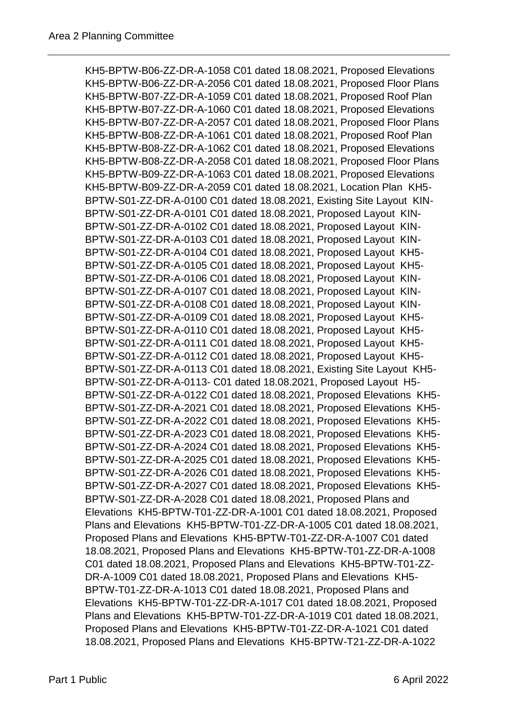KH5-BPTW-B06-ZZ-DR-A-1058 C01 dated 18.08.2021, Proposed Elevations KH5-BPTW-B06-ZZ-DR-A-2056 C01 dated 18.08.2021, Proposed Floor Plans KH5-BPTW-B07-ZZ-DR-A-1059 C01 dated 18.08.2021, Proposed Roof Plan KH5-BPTW-B07-ZZ-DR-A-1060 C01 dated 18.08.2021, Proposed Elevations KH5-BPTW-B07-ZZ-DR-A-2057 C01 dated 18.08.2021, Proposed Floor Plans KH5-BPTW-B08-ZZ-DR-A-1061 C01 dated 18.08.2021, Proposed Roof Plan KH5-BPTW-B08-ZZ-DR-A-1062 C01 dated 18.08.2021, Proposed Elevations KH5-BPTW-B08-ZZ-DR-A-2058 C01 dated 18.08.2021, Proposed Floor Plans KH5-BPTW-B09-ZZ-DR-A-1063 C01 dated 18.08.2021, Proposed Elevations KH5-BPTW-B09-ZZ-DR-A-2059 C01 dated 18.08.2021, Location Plan KH5- BPTW-S01-ZZ-DR-A-0100 C01 dated 18.08.2021, Existing Site Layout KIN-BPTW-S01-ZZ-DR-A-0101 C01 dated 18.08.2021, Proposed Layout KIN-BPTW-S01-ZZ-DR-A-0102 C01 dated 18.08.2021, Proposed Layout KIN-BPTW-S01-ZZ-DR-A-0103 C01 dated 18.08.2021, Proposed Layout KIN-BPTW-S01-ZZ-DR-A-0104 C01 dated 18.08.2021, Proposed Layout KH5- BPTW-S01-ZZ-DR-A-0105 C01 dated 18.08.2021, Proposed Layout KH5- BPTW-S01-ZZ-DR-A-0106 C01 dated 18.08.2021, Proposed Layout KIN-BPTW-S01-ZZ-DR-A-0107 C01 dated 18.08.2021, Proposed Layout KIN-BPTW-S01-ZZ-DR-A-0108 C01 dated 18.08.2021, Proposed Layout KIN-BPTW-S01-ZZ-DR-A-0109 C01 dated 18.08.2021, Proposed Layout KH5- BPTW-S01-ZZ-DR-A-0110 C01 dated 18.08.2021, Proposed Layout KH5- BPTW-S01-ZZ-DR-A-0111 C01 dated 18.08.2021, Proposed Layout KH5- BPTW-S01-ZZ-DR-A-0112 C01 dated 18.08.2021, Proposed Layout KH5- BPTW-S01-ZZ-DR-A-0113 C01 dated 18.08.2021, Existing Site Layout KH5- BPTW-S01-ZZ-DR-A-0113- C01 dated 18.08.2021, Proposed Layout H5- BPTW-S01-ZZ-DR-A-0122 C01 dated 18.08.2021, Proposed Elevations KH5- BPTW-S01-ZZ-DR-A-2021 C01 dated 18.08.2021, Proposed Elevations KH5- BPTW-S01-ZZ-DR-A-2022 C01 dated 18.08.2021, Proposed Elevations KH5- BPTW-S01-ZZ-DR-A-2023 C01 dated 18.08.2021, Proposed Elevations KH5- BPTW-S01-ZZ-DR-A-2024 C01 dated 18.08.2021, Proposed Elevations KH5- BPTW-S01-ZZ-DR-A-2025 C01 dated 18.08.2021, Proposed Elevations KH5- BPTW-S01-ZZ-DR-A-2026 C01 dated 18.08.2021, Proposed Elevations KH5- BPTW-S01-ZZ-DR-A-2027 C01 dated 18.08.2021, Proposed Elevations KH5- BPTW-S01-ZZ-DR-A-2028 C01 dated 18.08.2021, Proposed Plans and Elevations KH5-BPTW-T01-ZZ-DR-A-1001 C01 dated 18.08.2021, Proposed Plans and Elevations KH5-BPTW-T01-ZZ-DR-A-1005 C01 dated 18.08.2021, Proposed Plans and Elevations KH5-BPTW-T01-ZZ-DR-A-1007 C01 dated 18.08.2021, Proposed Plans and Elevations KH5-BPTW-T01-ZZ-DR-A-1008 C01 dated 18.08.2021, Proposed Plans and Elevations KH5-BPTW-T01-ZZ-DR-A-1009 C01 dated 18.08.2021, Proposed Plans and Elevations KH5- BPTW-T01-ZZ-DR-A-1013 C01 dated 18.08.2021, Proposed Plans and Elevations KH5-BPTW-T01-ZZ-DR-A-1017 C01 dated 18.08.2021, Proposed Plans and Elevations KH5-BPTW-T01-ZZ-DR-A-1019 C01 dated 18.08.2021, Proposed Plans and Elevations KH5-BPTW-T01-ZZ-DR-A-1021 C01 dated 18.08.2021, Proposed Plans and Elevations KH5-BPTW-T21-ZZ-DR-A-1022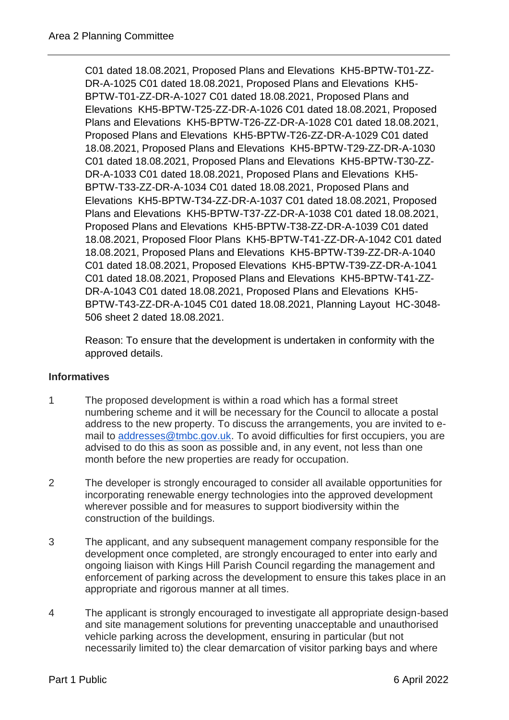C01 dated 18.08.2021, Proposed Plans and Elevations KH5-BPTW-T01-ZZ-DR-A-1025 C01 dated 18.08.2021, Proposed Plans and Elevations KH5- BPTW-T01-ZZ-DR-A-1027 C01 dated 18.08.2021, Proposed Plans and Elevations KH5-BPTW-T25-ZZ-DR-A-1026 C01 dated 18.08.2021, Proposed Plans and Elevations KH5-BPTW-T26-ZZ-DR-A-1028 C01 dated 18.08.2021, Proposed Plans and Elevations KH5-BPTW-T26-ZZ-DR-A-1029 C01 dated 18.08.2021, Proposed Plans and Elevations KH5-BPTW-T29-ZZ-DR-A-1030 C01 dated 18.08.2021, Proposed Plans and Elevations KH5-BPTW-T30-ZZ-DR-A-1033 C01 dated 18.08.2021, Proposed Plans and Elevations KH5- BPTW-T33-ZZ-DR-A-1034 C01 dated 18.08.2021, Proposed Plans and Elevations KH5-BPTW-T34-ZZ-DR-A-1037 C01 dated 18.08.2021, Proposed Plans and Elevations KH5-BPTW-T37-ZZ-DR-A-1038 C01 dated 18.08.2021, Proposed Plans and Elevations KH5-BPTW-T38-ZZ-DR-A-1039 C01 dated 18.08.2021, Proposed Floor Plans KH5-BPTW-T41-ZZ-DR-A-1042 C01 dated 18.08.2021, Proposed Plans and Elevations KH5-BPTW-T39-ZZ-DR-A-1040 C01 dated 18.08.2021, Proposed Elevations KH5-BPTW-T39-ZZ-DR-A-1041 C01 dated 18.08.2021, Proposed Plans and Elevations KH5-BPTW-T41-ZZ-DR-A-1043 C01 dated 18.08.2021, Proposed Plans and Elevations KH5- BPTW-T43-ZZ-DR-A-1045 C01 dated 18.08.2021, Planning Layout HC-3048- 506 sheet 2 dated 18.08.2021.

Reason: To ensure that the development is undertaken in conformity with the approved details.

## **Informatives**

- 1 The proposed development is within a road which has a formal street numbering scheme and it will be necessary for the Council to allocate a postal address to the new property. To discuss the arrangements, you are invited to email to [addresses@tmbc.gov.uk.](mailto:addresses@tmbc.gov.uk) To avoid difficulties for first occupiers, you are advised to do this as soon as possible and, in any event, not less than one month before the new properties are ready for occupation.
- 2 The developer is strongly encouraged to consider all available opportunities for incorporating renewable energy technologies into the approved development wherever possible and for measures to support biodiversity within the construction of the buildings.
- 3 The applicant, and any subsequent management company responsible for the development once completed, are strongly encouraged to enter into early and ongoing liaison with Kings Hill Parish Council regarding the management and enforcement of parking across the development to ensure this takes place in an appropriate and rigorous manner at all times.
- 4 The applicant is strongly encouraged to investigate all appropriate design-based and site management solutions for preventing unacceptable and unauthorised vehicle parking across the development, ensuring in particular (but not necessarily limited to) the clear demarcation of visitor parking bays and where